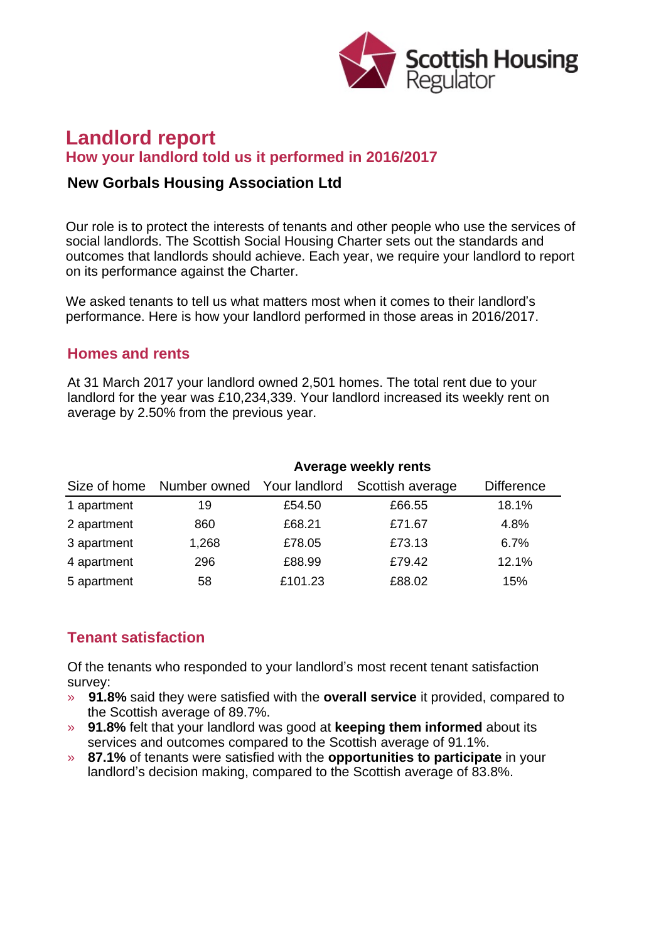

# **Landlord report How your landlord told us it performed in 2016/2017**

### **New Gorbals Housing Association Ltd**

Our role is to protect the interests of tenants and other people who use the services of social landlords. The Scottish Social Housing Charter sets out the standards and outcomes that landlords should achieve. Each year, we require your landlord to report on its performance against the Charter.

We asked tenants to tell us what matters most when it comes to their landlord's performance. Here is how your landlord performed in those areas in 2016/2017.

### **Homes and rents**

At 31 March 2017 your landlord owned 2,501 homes. The total rent due to your landlord for the year was £10,234,339. Your landlord increased its weekly rent on average by 2.50% from the previous year.

| Size of home | <b>Average weekly rents</b> |         |                  |                   |
|--------------|-----------------------------|---------|------------------|-------------------|
|              | Number owned Your landlord  |         | Scottish average | <b>Difference</b> |
| 1 apartment  | 19                          | £54.50  | £66.55           | 18.1%             |
| 2 apartment  | 860                         | £68.21  | £71.67           | 4.8%              |
| 3 apartment  | 1,268                       | £78.05  | £73.13           | 6.7%              |
| 4 apartment  | 296                         | £88.99  | £79.42           | 12.1%             |
| 5 apartment  | 58                          | £101.23 | £88.02           | 15%               |

# **Tenant satisfaction**

Of the tenants who responded to your landlord's most recent tenant satisfaction survey:

- » **91.8%** said they were satisfied with the **overall service** it provided, compared to the Scottish average of 89.7%.
- » **91.8%** felt that your landlord was good at **keeping them informed** about its services and outcomes compared to the Scottish average of 91.1%.
- » **87.1%** of tenants were satisfied with the **opportunities to participate** in your landlord's decision making, compared to the Scottish average of 83.8%.